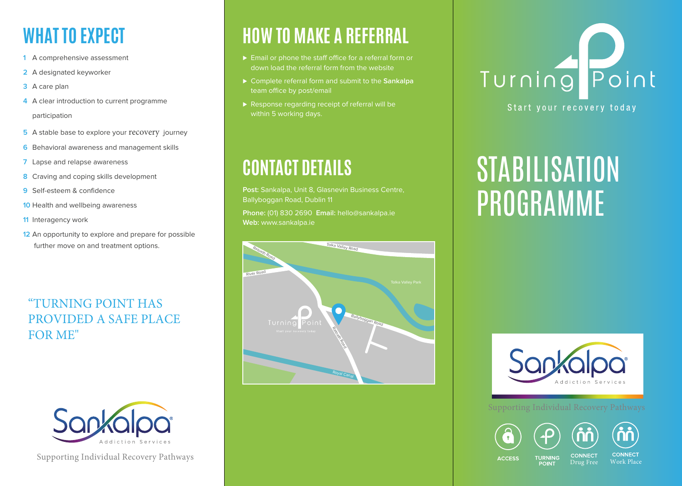# **WHAT TO EXPECT**

- **1** A comprehensive assessment
- **2** A designated keyworker
- **3** A care plan
- **4** A clear introduction to current programme participation
- **5** A stable base to explore your recovery journey
- **6** Behavioral awareness and management skills
- **7** Lapse and relapse awareness
- **8** Craving and coping skills development
- **9** Self-esteem & confidence
- **10** Health and wellbeing awareness
- **11** Interagency work
- **12** An opportunity to explore and prepare for possible further move on and treatment options.

#### "TURNING POINT HAS PROVIDED A SAFE PLACE FOR ME"



Supporting Individual Recovery Pathways

# **HOW TO MAKE A REFERRAL**

- ► Email or phone the staff office for a referral form or down load the referral form from the website
- ⊲ Complete referral form and submit to the **Sankalpa** team office by post/email
- ▶ Response regarding receipt of referral will be within 5 working days.

# **CONTACT DETAILS**

Post: Sankalpa, Unit 8, Glasnevin Business Centre, Ballyboggan Road, Dublin 11

**Phone:** (01) 830 2690 **Email:** hello@sankalpa.ie **Web:** www.sankalpa.ie



# Turning Point

#### Start your recovery today

# **STABILISATION** PROGRAMME



#### Supporting Individual Recovery Pathways





**ACCESS TURNING** 

**CONNECT** 

**CONNECT** Drug Free Work Place